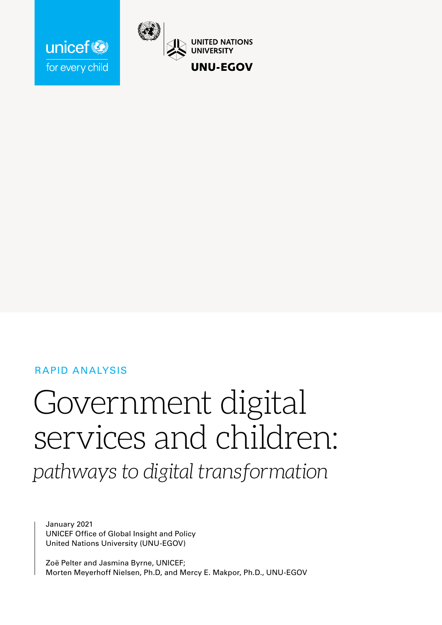

# RAPID ANALYSIS

unicef<sup>®</sup>

for every child

# Government digital services and children:

*pathways to digital transformation*

January 2021 UNICEF Office of Global Insight and Policy United Nations University (UNU-EGOV)

Zoë Pelter and Jasmina Byrne, UNICEF; Morten Meyerhoff Nielsen, Ph.D, and Mercy E. Makpor, Ph.D., UNU-EGOV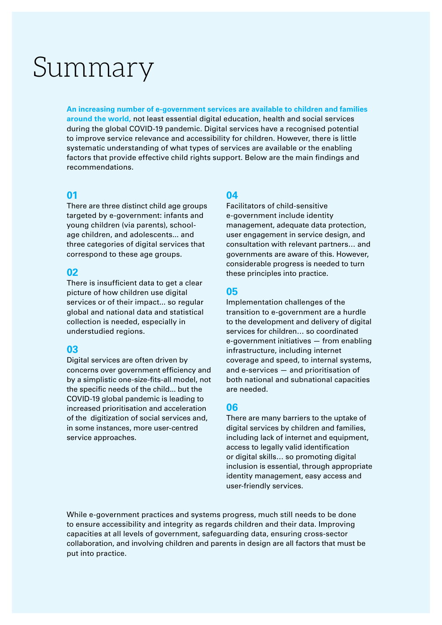# Summary

**An increasing number of e-government services are available to children and families around the world,** not least essential digital education, health and social services during the global COVID-19 pandemic. Digital services have a recognised potential to improve service relevance and accessibility for children. However, there is little systematic understanding of what types of services are available or the enabling factors that provide effective child rights support. Below are the main findings and recommendations.

### **01**

There are three distinct child age groups targeted by e-government: infants and young children (via parents), schoolage children, and adolescents... and three categories of digital services that correspond to these age groups.

### **02**

There is insufficient data to get a clear picture of how children use digital services or of their impact... so regular global and national data and statistical collection is needed, especially in understudied regions.

### **03**

Digital services are often driven by concerns over government efficiency and by a simplistic one-size-fits-all model, not the specific needs of the child... but the COVID-19 global pandemic is leading to increased prioritisation and acceleration of the digitization of social services and, in some instances, more user-centred service approaches.

### **04**

Facilitators of child-sensitive e-government include identity management, adequate data protection, user engagement in service design, and consultation with relevant partners… and governments are aware of this. However, considerable progress is needed to turn these principles into practice.

### **05**

Implementation challenges of the transition to e-government are a hurdle to the development and delivery of digital services for children… so coordinated e-government initiatives — from enabling infrastructure, including internet coverage and speed, to internal systems, and e-services — and prioritisation of both national and subnational capacities are needed.

### **06**

There are many barriers to the uptake of digital services by children and families, including lack of internet and equipment, access to legally valid identification or digital skills… so promoting digital inclusion is essential, through appropriate identity management, easy access and user-friendly services.

While e-government practices and systems progress, much still needs to be done to ensure accessibility and integrity as regards children and their data. Improving capacities at all levels of government, safeguarding data, ensuring cross-sector collaboration, and involving children and parents in design are all factors that must be put into practice.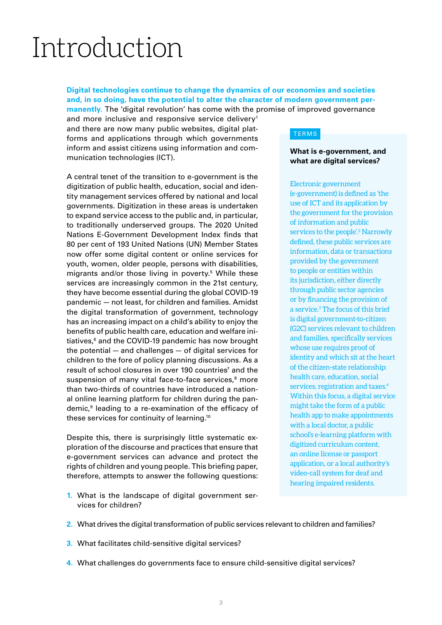# Introduction

### **Digital technologies continue to change the dynamics of our economies and societies and, in so doing, have the potential to alter the character of modern government permanently.** The 'digital revolution' has come with the promise of improved governance

and more inclusive and responsive service delivery<sup>1</sup> and there are now many public websites, digital platforms and applications through which governments inform and assist citizens using information and communication technologies (ICT).

A central tenet of the transition to e-government is the digitization of public health, education, social and identity management services offered by national and local governments. Digitization in these areas is undertaken to expand service access to the public and, in particular, to traditionally underserved groups. The 2020 United Nations E-Government Development Index finds that 80 per cent of 193 United Nations (UN) Member States now offer some digital content or online services for youth, women, older people, persons with disabilities, migrants and/or those living in poverty.<sup>5</sup> While these services are increasingly common in the 21st century, they have become essential during the global COVID-19 pandemic — not least, for children and families. Amidst the digital transformation of government, technology has an increasing impact on a child's ability to enjoy the benefits of public health care, education and welfare initiatives,<sup>6</sup> and the COVID-19 pandemic has now brought the potential — and challenges — of digital services for children to the fore of policy planning discussions. As a result of school closures in over 190 countries<sup>7</sup> and the suspension of many vital face-to-face services,<sup>8</sup> more than two-thirds of countries have introduced a national online learning platform for children during the pandemic,9 leading to a re-examination of the efficacy of these services for continuity of learning.10

Despite this, there is surprisingly little systematic exploration of the discourse and practices that ensure that e-government services can advance and protect the rights of children and young people. This briefing paper, therefore, attempts to answer the following questions:

#### TERMS

#### **What is e-government, and what are digital services?**

Electronic government (e-government) is defined as 'the use of ICT and its application by the government for the provision of information and public services to the people'.<sup>2</sup> Narrowly defined, these public services are information, data or transactions provided by the government to people or entities within its jurisdiction, either directly through public sector agencies or by financing the provision of a service.3 The focus of this brief is digital government-to-citizen (G2C) services relevant to children and families, specifically services whose use requires proof of identity and which sit at the heart of the citizen-state relationship: health care, education, social services, registration and taxes.<sup>4</sup> Within this focus, a digital service might take the form of a public health app to make appointments with a local doctor, a public school's e-learning platform with digitized curriculum content, an online license or passport application, or a local authority's video-call system for deaf and hearing impaired residents.

- **1.** What is the landscape of digital government services for children?
- **2.** What drives the digital transformation of public services relevant to children and families?
- **3.** What facilitates child-sensitive digital services?
- **4.** What challenges do governments face to ensure child-sensitive digital services?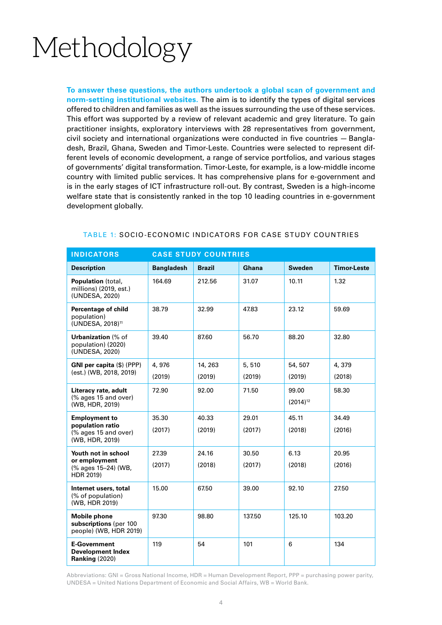# Methodology

**To answer these questions, the authors undertook a global scan of government and norm-setting institutional websites.** The aim is to identify the types of digital services offered to children and families as well as the issues surrounding the use of these services. This effort was supported by a review of relevant academic and grey literature. To gain practitioner insights, exploratory interviews with 28 representatives from government, civil society and international organizations were conducted in five countries — Bangladesh, Brazil, Ghana, Sweden and Timor-Leste. Countries were selected to represent different levels of economic development, a range of service portfolios, and various stages of governments' digital transformation. Timor-Leste, for example, is a low-middle income country with limited public services. It has comprehensive plans for e-government and is in the early stages of ICT infrastructure roll-out. By contrast, Sweden is a high-income welfare state that is consistently ranked in the top 10 leading countries in e-government development globally.

| <b>INDICATORS</b>                                                                   | <b>CASE STUDY COUNTRIES</b> |               |        |                        |                    |
|-------------------------------------------------------------------------------------|-----------------------------|---------------|--------|------------------------|--------------------|
| <b>Description</b>                                                                  | <b>Bangladesh</b>           | <b>Brazil</b> | Ghana  | <b>Sweden</b>          | <b>Timor-Leste</b> |
| Population (total,<br>millions) (2019, est.)<br>(UNDESA, 2020)                      | 164.69                      | 212.56        | 31.07  | 10.11                  | 1.32               |
| Percentage of child<br>population)<br>(UNDESA, 2018) <sup>11</sup>                  | 38.79                       | 32.99         | 47.83  | 23.12                  | 59.69              |
| <b>Urbanization</b> (% of<br>population) (2020)<br>(UNDESA, 2020)                   | 39.40                       | 87.60         | 56.70  | 88.20                  | 32.80              |
| <b>GNI per capita (\$) (PPP)</b><br>(est.) (WB, 2018, 2019)                         | 4,976                       | 14, 263       | 5,510  | 54, 507                | 4,379              |
|                                                                                     | (2019)                      | (2019)        | (2019) | (2019)                 | (2018)             |
| Literacy rate, adult<br>(% ages 15 and over)<br>(WB, HDR, 2019)                     | 72.90                       | 92.00         | 71.50  | 99.00<br>$(2014)^{12}$ | 58.30              |
| <b>Employment to</b><br>population ratio<br>(% ages 15 and over)<br>(WB, HDR, 2019) | 35.30                       | 40.33         | 29.01  | 45.11                  | 34.49              |
|                                                                                     | (2017)                      | (2019)        | (2017) | (2018)                 | (2016)             |
| Youth not in school<br>or employment<br>(% ages 15-24) (WB,<br>HDR 2019)            | 27.39                       | 24.16         | 30.50  | 6.13                   | 20.95              |
|                                                                                     | (2017)                      | (2018)        | (2017) | (2018)                 | (2016)             |
| Internet users, total<br>(% of population)<br>(WB, HDR 2019)                        | 15.00                       | 67.50         | 39.00  | 92.10                  | 27.50              |
| <b>Mobile phone</b><br>subscriptions (per 100<br>people) (WB, HDR 2019)             | 97.30                       | 98.80         | 137.50 | 125.10                 | 103.20             |
| <b>E-Government</b><br><b>Development Index</b><br><b>Ranking (2020)</b>            | 119                         | 54            | 101    | 6                      | 134                |

#### TABLE 1: SOCIO-ECONOMIC INDICATORS FOR CASE STUDY COUNTRIES

Abbreviations: GNI = Gross National Income, HDR = Human Development Report, PPP = purchasing power parity, UNDESA = United Nations Department of Economic and Social Affairs, WB = World Bank.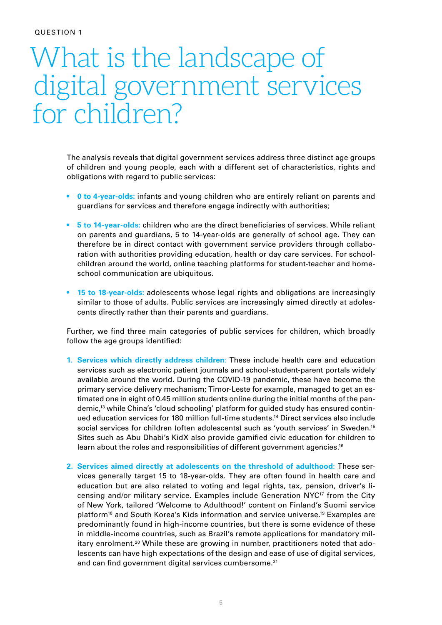# What is the landscape of digital government services for children?

The analysis reveals that digital government services address three distinct age groups of children and young people, each with a different set of characteristics, rights and obligations with regard to public services:

- **• 0 to 4-year-olds:** infants and young children who are entirely reliant on parents and guardians for services and therefore engage indirectly with authorities;
- **• 5 to 14-year-olds:** children who are the direct beneficiaries of services. While reliant on parents and guardians, 5 to 14-year-olds are generally of school age. They can therefore be in direct contact with government service providers through collaboration with authorities providing education, health or day care services. For schoolchildren around the world, online teaching platforms for student-teacher and homeschool communication are ubiquitous.
- **• 15 to 18-year-olds:** adolescents whose legal rights and obligations are increasingly similar to those of adults. Public services are increasingly aimed directly at adolescents directly rather than their parents and guardians.

Further**,** we find three main categories of public services for children, which broadly follow the age groups identified:

- **1. Services which directly address children**: These include health care and education services such as electronic patient journals and school-student-parent portals widely available around the world. During the COVID-19 pandemic, these have become the primary service delivery mechanism; Timor-Leste for example, managed to get an estimated one in eight of 0.45 million students online during the initial months of the pandemic,13 while China's 'cloud schooling' platform for guided study has ensured continued education services for 180 million full-time students.14 Direct services also include social services for children (often adolescents) such as 'youth services' in Sweden.15 Sites such as Abu Dhabi's KidX also provide gamified civic education for children to learn about the roles and responsibilities of different government agencies.<sup>16</sup>
- **2. Services aimed directly at adolescents on the threshold of adulthood**: These services generally target 15 to 18-year-olds. They are often found in health care and education but are also related to voting and legal rights, tax, pension, driver's licensing and/or military service. Examples include Generation  $Nyc^{17}$  from the City of New York, tailored 'Welcome to Adulthood!' content on Finland's Suomi service platform18 and South Korea's Kids information and service universe.19 Examples are predominantly found in high-income countries, but there is some evidence of these in middle-income countries, such as Brazil's remote applications for mandatory military enrolment.20 While these are growing in number, practitioners noted that adolescents can have high expectations of the design and ease of use of digital services, and can find government digital services cumbersome.<sup>21</sup>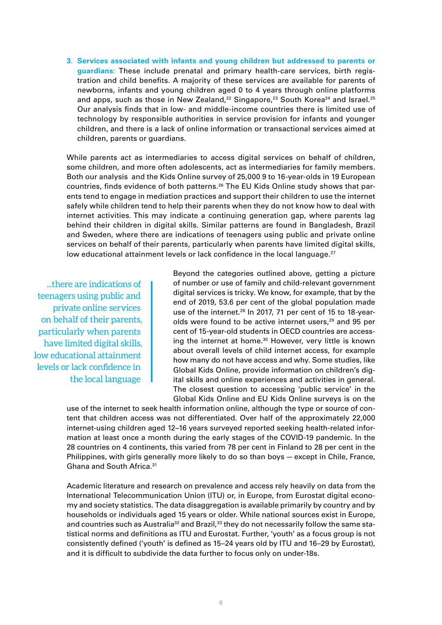**3. Services associated with infants and young children but addressed to parents or guardians**: These include prenatal and primary health-care services, birth registration and child benefits. A majority of these services are available for parents of newborns, infants and young children aged 0 to 4 years through online platforms and apps, such as those in New Zealand,<sup>22</sup> Singapore,<sup>23</sup> South Korea<sup>24</sup> and Israel.<sup>25</sup> Our analysis finds that in low- and middle-income countries there is limited use of technology by responsible authorities in service provision for infants and younger children, and there is a lack of online information or transactional services aimed at children, parents or guardians.

While parents act as intermediaries to access digital services on behalf of children, some children, and more often adolescents, act as intermediaries for family members. Both our analysis and the Kids Online survey of 25,000 9 to 16-year-olds in 19 European countries, finds evidence of both patterns.<sup>26</sup> The EU Kids Online study shows that parents tend to engage in mediation practices and support their children to use the internet safely while children tend to help their parents when they do not know how to deal with internet activities. This may indicate a continuing generation gap, where parents lag behind their children in digital skills. Similar patterns are found in Bangladesh, Brazil and Sweden, where there are indications of teenagers using public and private online services on behalf of their parents, particularly when parents have limited digital skills, low educational attainment levels or lack confidence in the local language.<sup>27</sup>

...there are indications of teenagers using public and private online services on behalf of their parents, particularly when parents have limited digital skills, low educational attainment levels or lack confidence in the local language

Beyond the categories outlined above, getting a picture of number or use of family and child-relevant government digital services is tricky. We know, for example, that by the end of 2019, 53.6 per cent of the global population made use of the internet.<sup>28</sup> In 2017, 71 per cent of 15 to 18-yearolds were found to be active internet users,<sup>29</sup> and 95 per cent of 15-year-old students in OECD countries are accessing the internet at home.<sup>30</sup> However, very little is known about overall levels of child internet access, for example how many do not have access and why. Some studies, like Global Kids Online, provide information on children's digital skills and online experiences and activities in general. The closest question to accessing 'public service' in the Global Kids Online and EU Kids Online surveys is on the

use of the internet to seek health information online, although the type or source of content that children access was not differentiated. Over half of the approximately 22,000 internet-using children aged 12–16 years surveyed reported seeking health-related information at least once a month during the early stages of the COVID-19 pandemic. In the 28 countries on 4 continents, this varied from 78 per cent in Finland to 28 per cent in the Philippines, with girls generally more likely to do so than boys — except in Chile, France, Ghana and South Africa.31

Academic literature and research on prevalence and access rely heavily on data from the International Telecommunication Union (ITU) or, in Europe, from Eurostat digital economy and society statistics. The data disaggregation is available primarily by country and by households or individuals aged 15 years or older. While national sources exist in Europe, and countries such as Australia<sup>32</sup> and Brazil,<sup>33</sup> they do not necessarily follow the same statistical norms and definitions as ITU and Eurostat. Further, 'youth' as a focus group is not consistently defined ('youth' is defined as 15–24 years old by ITU and 16–29 by Eurostat), and it is difficult to subdivide the data further to focus only on under-18s.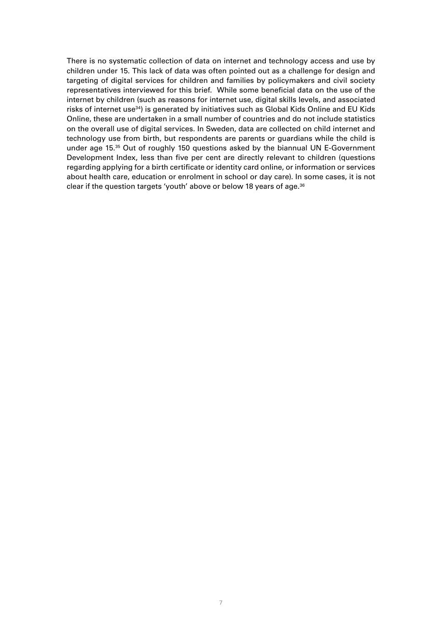There is no systematic collection of data on internet and technology access and use by children under 15. This lack of data was often pointed out as a challenge for design and targeting of digital services for children and families by policymakers and civil society representatives interviewed for this brief. While some beneficial data on the use of the internet by children (such as reasons for internet use, digital skills levels, and associated risks of internet use<sup>34</sup>) is generated by initiatives such as Global Kids Online and EU Kids Online, these are undertaken in a small number of countries and do not include statistics on the overall use of digital services. In Sweden, data are collected on child internet and technology use from birth, but respondents are parents or guardians while the child is under age 15.35 Out of roughly 150 questions asked by the biannual UN E-Government Development Index, less than five per cent are directly relevant to children (questions regarding applying for a birth certificate or identity card online, or information or services about health care, education or enrolment in school or day care). In some cases, it is not clear if the question targets 'youth' above or below 18 years of age.<sup>36</sup>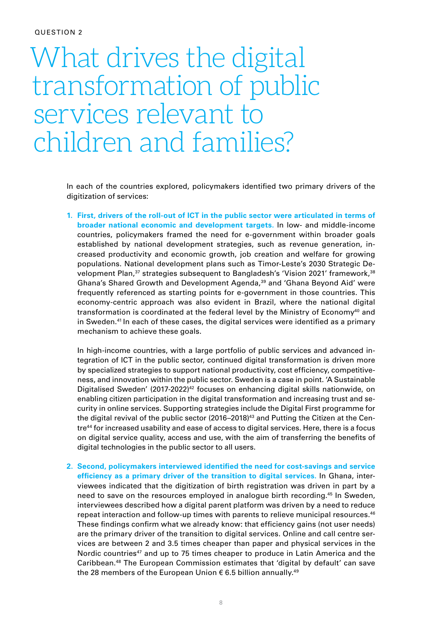# What drives the digital transformation of public services relevant to children and families?

In each of the countries explored, policymakers identified two primary drivers of the digitization of services:

**1. First, drivers of the roll-out of ICT in the public sector were articulated in terms of broader national economic and development targets.** In low- and middle-income countries, policymakers framed the need for e-government within broader goals established by national development strategies, such as revenue generation, increased productivity and economic growth, job creation and welfare for growing populations. National development plans such as Timor-Leste's 2030 Strategic Development Plan,37 strategies subsequent to Bangladesh's 'Vision 2021' framework,38 Ghana's Shared Growth and Development Agenda,<sup>39</sup> and 'Ghana Beyond Aid' were frequently referenced as starting points for e-government in those countries. This economy-centric approach was also evident in Brazil, where the national digital transformation is coordinated at the federal level by the Ministry of Economy<sup>40</sup> and in Sweden.<sup>41</sup> In each of these cases, the digital services were identified as a primary mechanism to achieve these goals.

In high-income countries, with a large portfolio of public services and advanced integration of ICT in the public sector, continued digital transformation is driven more by specialized strategies to support national productivity, cost efficiency, competitiveness, and innovation within the public sector. Sweden is a case in point. 'A Sustainable Digitalised Sweden'  $(2017-2022)^{42}$  focuses on enhancing digital skills nationwide, on enabling citizen participation in the digital transformation and increasing trust and security in online services. Supporting strategies include the Digital First programme for the digital revival of the public sector (2016–2018)<sup>43</sup> and Putting the Citizen at the Centre44 for increased usability and ease of access to digital services. Here, there is a focus on digital service quality, access and use, with the aim of transferring the benefits of digital technologies in the public sector to all users.

**2. Second, policymakers interviewed identified the need for cost-savings and service efficiency as a primary driver of the transition to digital services.** In Ghana, interviewees indicated that the digitization of birth registration was driven in part by a need to save on the resources employed in analogue birth recording.45 In Sweden, interviewees described how a digital parent platform was driven by a need to reduce repeat interaction and follow-up times with parents to relieve municipal resources.46 These findings confirm what we already know: that efficiency gains (not user needs) are the primary driver of the transition to digital services. Online and call centre services are between 2 and 3.5 times cheaper than paper and physical services in the Nordic countries<sup>47</sup> and up to 75 times cheaper to produce in Latin America and the Caribbean.48 The European Commission estimates that 'digital by default' can save the 28 members of the European Union  $\epsilon$  6.5 billion annually.<sup>49</sup>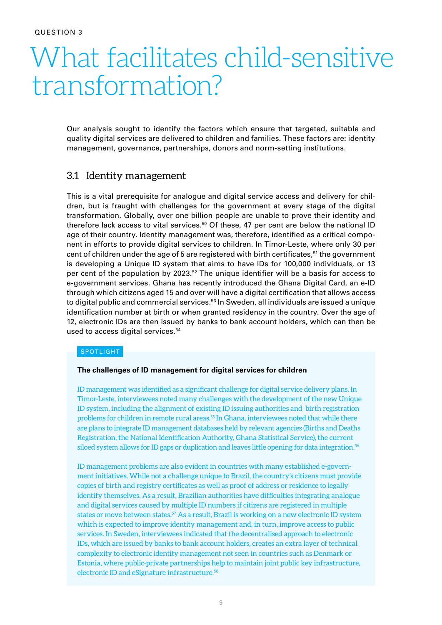# What facilitates child-sensitive transformation?

Our analysis sought to identify the factors which ensure that targeted, suitable and quality digital services are delivered to children and families. These factors are: identity management, governance, partnerships, donors and norm-setting institutions.

### 3.1 Identity management

This is a vital prerequisite for analogue and digital service access and delivery for children, but is fraught with challenges for the government at every stage of the digital transformation. Globally, over one billion people are unable to prove their identity and therefore lack access to vital services.<sup>50</sup> Of these, 47 per cent are below the national ID age of their country. Identity management was, therefore, identified as a critical component in efforts to provide digital services to children. In Timor-Leste, where only 30 per cent of children under the age of 5 are registered with birth certificates,<sup>51</sup> the government is developing a Unique ID system that aims to have IDs for 100,000 individuals, or 13 per cent of the population by 2023.52 The unique identifier will be a basis for access to e-government services. Ghana has recently introduced the Ghana Digital Card, an e-ID through which citizens aged 15 and over will have a digital certification that allows access to digital public and commercial services.<sup>53</sup> In Sweden, all individuals are issued a unique identification number at birth or when granted residency in the country. Over the age of 12, electronic IDs are then issued by banks to bank account holders, which can then be used to access digital services.<sup>54</sup>

#### SPOTLIGHT

#### **The challenges of ID management for digital services for children**

ID management was identified as a significant challenge for digital service delivery plans. In Timor-Leste, interviewees noted many challenges with the development of the new Unique ID system, including the alignment of existing ID issuing authorities and birth registration problems for children in remote rural areas.55 In Ghana, interviewees noted that while there are plans to integrate ID management databases held by relevant agencies (Births and Deaths Registration, the National Identification Authority, Ghana Statistical Service), the current siloed system allows for ID gaps or duplication and leaves little opening for data integration.56

ID management problems are also evident in countries with many established e-government initiatives. While not a challenge unique to Brazil, the country's citizens must provide copies of birth and registry certificates as well as proof of address or residence to legally identify themselves. As a result, Brazilian authorities have difficulties integrating analogue and digital services caused by multiple ID numbers if citizens are registered in multiple states or move between states.<sup>57</sup> As a result, Brazil is working on a new electronic ID system which is expected to improve identity management and, in turn, improve access to public services. In Sweden, interviewees indicated that the decentralised approach to electronic IDs, which are issued by banks to bank account holders, creates an extra layer of technical complexity to electronic identity management not seen in countries such as Denmark or Estonia, where public-private partnerships help to maintain joint public key infrastructure, electronic ID and eSignature infrastructure.58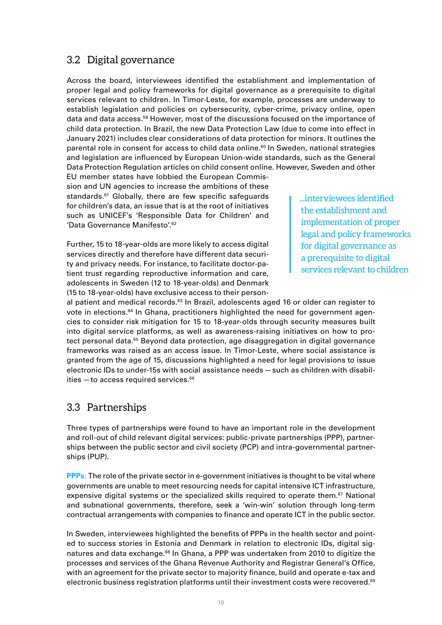# 3.2 Digital governance

Across the board, interviewees identified the establishment and implementation of proper legal and policy frameworks for digital governance as a prerequisite to digital services relevant to children. In Timor-Leste, for example, processes are underway to establish legislation and policies on cybersecurity, cyber-crime, privacy online, open data and data access.59 However, most of the discussions focused on the importance of child data protection. In Brazil, the new Data Protection Law (due to come into effect in January 2021) includes clear considerations of data protection for minors. It outlines the parental role in consent for access to child data online.<sup>60</sup> In Sweden, national strategies and legislation are influenced by European Union-wide standards, such as the General Data Protection Regulation articles on child consent online. However, Sweden and other EU member states have lobbied the European Commis-

sion and UN agencies to increase the ambitions of these standards.<sup>61</sup> Globally, there are few specific safeguards for children's data, an issue that is at the root of initiatives such as UNICEF's 'Responsible Data for Children' and 'Data Governance Manifesto'.62

Further, 15 to 18-year-olds are more likely to access digital services directly and therefore have different data security and privacy needs. For instance, to facilitate doctor-patient trust regarding reproductive information and care, adolescents in Sweden (12 to 18-year-olds) and Denmark (15 to 18-year-olds) have exclusive access to their person...interviewees identified the establishment and implementation of proper legal and policy frameworks for digital governance as a prerequisite to digital services relevant to children

al patient and medical records.<sup>63</sup> In Brazil, adolescents aged 16 or older can register to vote in elections.<sup>64</sup> In Ghana, practitioners highlighted the need for government agencies to consider risk mitigation for 15 to 18-year-olds through security measures built into digital service platforms, as well as awareness-raising initiatives on how to protect personal data.<sup>65</sup> Beyond data protection, age disaggregation in digital governance frameworks was raised as an access issue. In Timor-Leste, where social assistance is granted from the age of 15, discussions highlighted a need for legal provisions to issue electronic IDs to under-15s with social assistance needs — such as children with disabilities - to access required services.<sup>66</sup>

### 3.3 Partnerships

Three types of partnerships were found to have an important role in the development and roll-out of child relevant digital services: public-private partnerships (PPP), partnerships between the public sector and civil society (PCP) and intra-governmental partnerships (PUP).

**PPPs:** The role of the private sector in e-government initiatives is thought to be vital where governments are unable to meet resourcing needs for capital intensive ICT infrastructure, expensive digital systems or the specialized skills required to operate them.<sup>67</sup> National and subnational governments, therefore, seek a 'win-win' solution through long-term contractual arrangements with companies to finance and operate ICT in the public sector.

In Sweden, interviewees highlighted the benefits of PPPs in the health sector and pointed to success stories in Estonia and Denmark in relation to electronic IDs, digital signatures and data exchange.<sup>68</sup> In Ghana, a PPP was undertaken from 2010 to digitize the processes and services of the Ghana Revenue Authority and Registrar General's Office, with an agreement for the private sector to majority finance, build and operate e-tax and electronic business registration platforms until their investment costs were recovered.<sup>69</sup>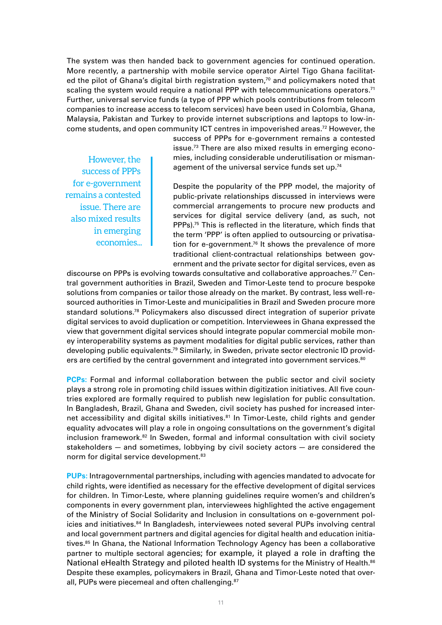The system was then handed back to government agencies for continued operation. More recently, a partnership with mobile service operator Airtel Tigo Ghana facilitated the pilot of Ghana's digital birth registration system, $70$  and policymakers noted that scaling the system would require a national PPP with telecommunications operators.<sup>71</sup> Further, universal service funds (a type of PPP which pools contributions from telecom companies to increase access to telecom services) have been used in Colombia, Ghana, Malaysia, Pakistan and Turkey to provide internet subscriptions and laptops to low-income students, and open community ICT centres in impoverished areas.72 However, the

However, the success of PPPs for e-government remains a contested issue. There are also mixed results in emerging economies... success of PPPs for e-government remains a contested issue.73 There are also mixed results in emerging economies, including considerable underutilisation or mismanagement of the universal service funds set up.74

Despite the popularity of the PPP model, the majority of public-private relationships discussed in interviews were commercial arrangements to procure new products and services for digital service delivery (and, as such, not PPPs).75 This is reflected in the literature, which finds that the term 'PPP' is often applied to outsourcing or privatisation for e-government.<sup>76</sup> It shows the prevalence of more traditional client-contractual relationships between government and the private sector for digital services, even as

discourse on PPPs is evolving towards consultative and collaborative approaches.77 Central government authorities in Brazil, Sweden and Timor-Leste tend to procure bespoke solutions from companies or tailor those already on the market. By contrast, less well-resourced authorities in Timor-Leste and municipalities in Brazil and Sweden procure more standard solutions.78 Policymakers also discussed direct integration of superior private digital services to avoid duplication or competition. Interviewees in Ghana expressed the view that government digital services should integrate popular commercial mobile money interoperability systems as payment modalities for digital public services, rather than developing public equivalents.<sup>79</sup> Similarly, in Sweden, private sector electronic ID providers are certified by the central government and integrated into government services.<sup>80</sup>

**PCPs:** Formal and informal collaboration between the public sector and civil society plays a strong role in promoting child issues within digitization initiatives. All five countries explored are formally required to publish new legislation for public consultation. In Bangladesh, Brazil, Ghana and Sweden, civil society has pushed for increased internet accessibility and digital skills initiatives.<sup>81</sup> In Timor-Leste, child rights and gender equality advocates will play a role in ongoing consultations on the government's digital inclusion framework.<sup>82</sup> In Sweden, formal and informal consultation with civil society stakeholders — and sometimes, lobbying by civil society actors — are considered the norm for digital service development.<sup>83</sup>

**PUPs:** Intragovernmental partnerships, including with agencies mandated to advocate for child rights, were identified as necessary for the effective development of digital services for children. In Timor-Leste, where planning guidelines require women's and children's components in every government plan, interviewees highlighted the active engagement of the Ministry of Social Solidarity and Inclusion in consultations on e-government policies and initiatives.<sup>84</sup> In Bangladesh, interviewees noted several PUPs involving central and local government partners and digital agencies for digital health and education initiatives.<sup>85</sup> In Ghana, the National Information Technology Agency has been a collaborative partner to multiple sectoral agencies; for example, it played a role in drafting the National eHealth Strategy and piloted health ID systems for the Ministry of Health.<sup>86</sup> Despite these examples, policymakers in Brazil, Ghana and Timor-Leste noted that overall, PUPs were piecemeal and often challenging.<sup>87</sup>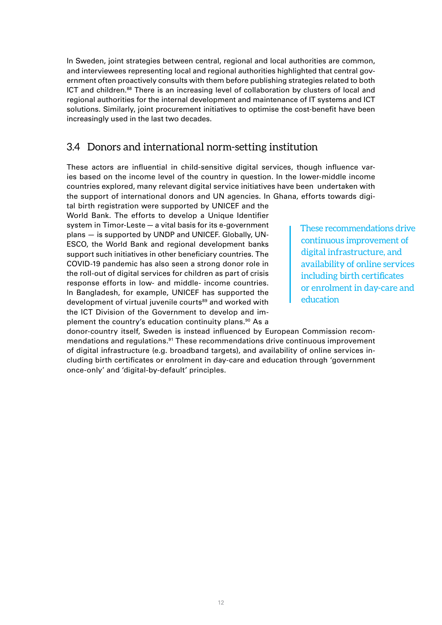In Sweden, joint strategies between central, regional and local authorities are common, and interviewees representing local and regional authorities highlighted that central government often proactively consults with them before publishing strategies related to both ICT and children.<sup>88</sup> There is an increasing level of collaboration by clusters of local and regional authorities for the internal development and maintenance of IT systems and ICT solutions. Similarly, joint procurement initiatives to optimise the cost-benefit have been increasingly used in the last two decades.

# 3.4 Donors and international norm-setting institution

These actors are influential in child-sensitive digital services, though influence varies based on the income level of the country in question. In the lower-middle income countries explored, many relevant digital service initiatives have been undertaken with the support of international donors and UN agencies. In Ghana, efforts towards digi-

tal birth registration were supported by UNICEF and the World Bank. The efforts to develop a Unique Identifier system in Timor-Leste — a vital basis for its e-government plans — is supported by UNDP and UNICEF. Globally, UN-ESCO, the World Bank and regional development banks support such initiatives in other beneficiary countries. The COVID-19 pandemic has also seen a strong donor role in the roll-out of digital services for children as part of crisis response efforts in low- and middle- income countries. In Bangladesh, for example, UNICEF has supported the development of virtual juvenile courts<sup>89</sup> and worked with the ICT Division of the Government to develop and implement the country's education continuity plans.<sup>90</sup> As a

These recommendations drive continuous improvement of digital infrastructure, and availability of online services including birth certificates or enrolment in day-care and education

donor-country itself, Sweden is instead influenced by European Commission recommendations and regulations.91 These recommendations drive continuous improvement of digital infrastructure (e.g. broadband targets), and availability of online services including birth certificates or enrolment in day-care and education through 'government once-only' and 'digital-by-default' principles.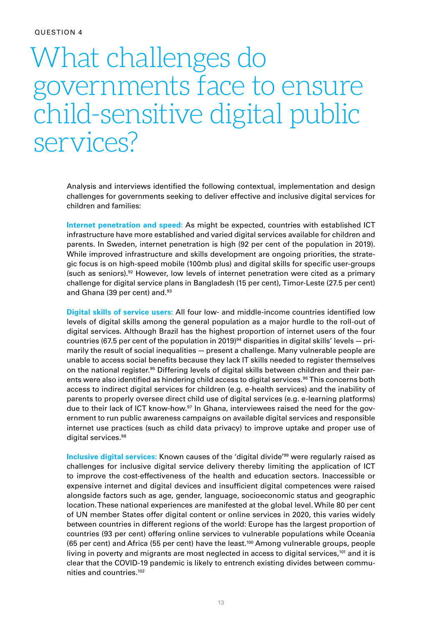# What challenges do governments face to ensure child-sensitive digital public services?

Analysis and interviews identified the following contextual, implementation and design challenges for governments seeking to deliver effective and inclusive digital services for children and families:

**Internet penetration and speed**: As might be expected, countries with established ICT infrastructure have more established and varied digital services available for children and parents. In Sweden, internet penetration is high (92 per cent of the population in 2019). While improved infrastructure and skills development are ongoing priorities, the strategic focus is on high-speed mobile (100mb plus) and digital skills for specific user-groups (such as seniors).92 However, low levels of internet penetration were cited as a primary challenge for digital service plans in Bangladesh (15 per cent), Timor-Leste (27.5 per cent) and Ghana (39 per cent) and.<sup>93</sup>

**Digital skills of service users:** All four low- and middle-income countries identified low levels of digital skills among the general population as a major hurdle to the roll-out of digital services. Although Brazil has the highest proportion of internet users of the four countries (67.5 per cent of the population in 2019)<sup>94</sup> disparities in digital skills' levels – primarily the result of social inequalities — present a challenge. Many vulnerable people are unable to access social benefits because they lack IT skills needed to register themselves on the national register.95 Differing levels of digital skills between children and their parents were also identified as hindering child access to digital services.<sup>96</sup> This concerns both access to indirect digital services for children (e.g. e-health services) and the inability of parents to properly oversee direct child use of digital services (e.g. e-learning platforms) due to their lack of ICT know-how.<sup>97</sup> In Ghana, interviewees raised the need for the government to run public awareness campaigns on available digital services and responsible internet use practices (such as child data privacy) to improve uptake and proper use of digital services.<sup>98</sup>

**Inclusive digital services:** Known causes of the 'digital divide'99 were regularly raised as challenges for inclusive digital service delivery thereby limiting the application of ICT to improve the cost-effectiveness of the health and education sectors. Inaccessible or expensive internet and digital devices and insufficient digital competences were raised alongside factors such as age, gender, language, socioeconomic status and geographic location. These national experiences are manifested at the global level. While 80 per cent of UN member States offer digital content or online services in 2020, this varies widely between countries in different regions of the world: Europe has the largest proportion of countries (93 per cent) offering online services to vulnerable populations while Oceania (65 per cent) and Africa (55 per cent) have the least.100 Among vulnerable groups, people living in poverty and migrants are most neglected in access to digital services, $101$  and it is clear that the COVID-19 pandemic is likely to entrench existing divides between communities and countries.102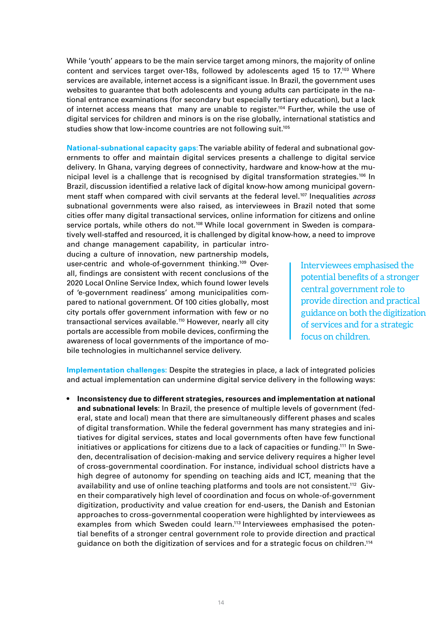While 'youth' appears to be the main service target among minors, the majority of online content and services target over-18s, followed by adolescents aged 15 to  $17^{103}$  Where services are available, internet access is a significant issue. In Brazil, the government uses websites to guarantee that both adolescents and young adults can participate in the national entrance examinations (for secondary but especially tertiary education), but a lack of internet access means that many are unable to register.<sup>104</sup> Further, while the use of digital services for children and minors is on the rise globally, international statistics and studies show that low-income countries are not following suit.<sup>105</sup>

**National-subnational capacity gaps**: The variable ability of federal and subnational governments to offer and maintain digital services presents a challenge to digital service delivery. In Ghana, varying degrees of connectivity, hardware and know-how at the municipal level is a challenge that is recognised by digital transformation strategies.<sup>106</sup> In Brazil, discussion identified a relative lack of digital know-how among municipal government staff when compared with civil servants at the federal level.107 Inequalities *across* subnational governments were also raised, as interviewees in Brazil noted that some cities offer many digital transactional services, online information for citizens and online service portals, while others do not.<sup>108</sup> While local government in Sweden is comparatively well-staffed and resourced, it is challenged by digital know-how, a need to improve

and change management capability, in particular introducing a culture of innovation, new partnership models, user-centric and whole-of-government thinking.<sup>109</sup> Overall, findings are consistent with recent conclusions of the 2020 Local Online Service Index, which found lower levels of 'e-government readiness' among municipalities compared to national government. Of 100 cities globally, most city portals offer government information with few or no transactional services available.110 However, nearly all city portals are accessible from mobile devices, confirming the awareness of local governments of the importance of mobile technologies in multichannel service delivery.

Interviewees emphasised the potential benefits of a stronger central government role to provide direction and practical guidance on both the digitization of services and for a strategic focus on children.

**Implementation challenges:** Despite the strategies in place, a lack of integrated policies and actual implementation can undermine digital service delivery in the following ways:

**• Inconsistency due to different strategies, resources and implementation at national and subnational levels**: In Brazil, the presence of multiple levels of government (federal, state and local) mean that there are simultaneously different phases and scales of digital transformation. While the federal government has many strategies and initiatives for digital services, states and local governments often have few functional initiatives or applications for citizens due to a lack of capacities or funding.<sup>111</sup> In Sweden, decentralisation of decision-making and service delivery requires a higher level of cross-governmental coordination. For instance, individual school districts have a high degree of autonomy for spending on teaching aids and ICT, meaning that the availability and use of online teaching platforms and tools are not consistent.<sup>112</sup> Given their comparatively high level of coordination and focus on whole-of-government digitization, productivity and value creation for end-users, the Danish and Estonian approaches to cross-governmental cooperation were highlighted by interviewees as examples from which Sweden could learn.<sup>113</sup> Interviewees emphasised the potential benefits of a stronger central government role to provide direction and practical guidance on both the digitization of services and for a strategic focus on children.114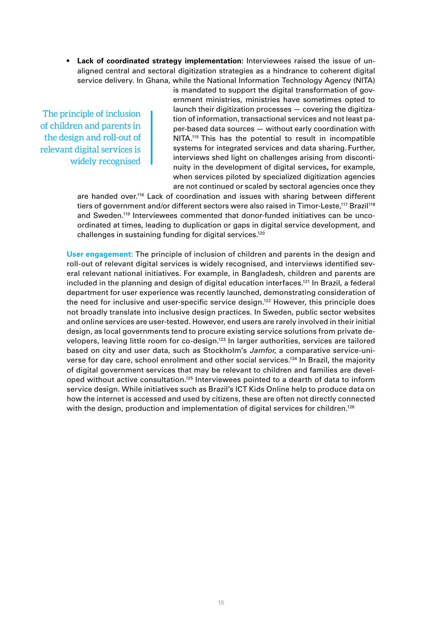**• Lack of coordinated strategy implementation:** Interviewees raised the issue of unaligned central and sectoral digitization strategies as a hindrance to coherent digital service delivery. In Ghana, while the National Information Technology Agency (NITA)

The principle of inclusion of children and parents in the design and roll-out of relevant digital services is widely recognised

is mandated to support the digital transformation of government ministries, ministries have sometimes opted to launch their digitization processes — covering the digitization of information, transactional services and not least paper-based data sources — without early coordination with NITA.115 This has the potential to result in incompatible systems for integrated services and data sharing. Further, interviews shed light on challenges arising from discontinuity in the development of digital services**,** for example, when services piloted by specialized digitization agencies are not continued or scaled by sectoral agencies once they

are handed over.116 Lack of coordination and issues with sharing between different tiers of government and/or different sectors were also raised in Timor-Leste,<sup>117</sup> Brazil<sup>118</sup> and Sweden.119 Interviewees commented that donor-funded initiatives can be uncoordinated at times, leading to duplication or gaps in digital service development, and challenges in sustaining funding for digital services.120

**User engagement:** The principle of inclusion of children and parents in the design and roll-out of relevant digital services is widely recognised, and interviews identified several relevant national initiatives. For example, in Bangladesh, children and parents are included in the planning and design of digital education interfaces.121 In Brazil, a federal department for user experience was recently launched, demonstrating consideration of the need for inclusive and user-specific service design.<sup>122</sup> However, this principle does not broadly translate into inclusive design practices. In Sweden, public sector websites and online services are user-tested. However, end users are rarely involved in their initial design, as local governments tend to procure existing service solutions from private developers, leaving little room for co-design.123 In larger authorities, services are tailored based on city and user data, such as Stockholm's *Jamfor*, a comparative service-universe for day care, school enrolment and other social services.124 In Brazil, the majority of digital government services that may be relevant to children and families are developed without active consultation.125 Interviewees pointed to a dearth of data to inform service design. While initiatives such as Brazil's ICT Kids Online help to produce data on how the internet is accessed and used by citizens, these are often not directly connected with the design, production and implementation of digital services for children.<sup>126</sup>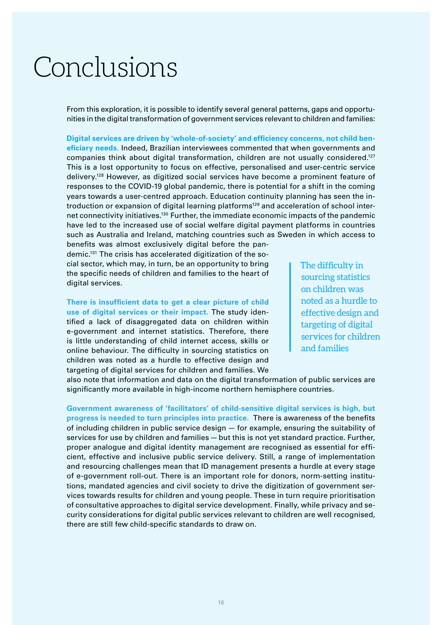# Conclusions

From this exploration, it is possible to identify several general patterns, gaps and opportunities in the digital transformation of government services relevant to children and families:

**Digital services are driven by 'whole-of-society' and efficiency concerns, not child beneficiary needs.** Indeed, Brazilian interviewees commented that when governments and companies think about digital transformation, children are not usually considered.<sup>127</sup> This is a lost opportunity to focus on effective, personalised and user-centric service delivery.128 However, as digitized social services have become a prominent feature of responses to the COVID-19 global pandemic, there is potential for a shift in the coming years towards a user-centred approach. Education continuity planning has seen the introduction or expansion of digital learning platforms<sup>129</sup> and acceleration of school internet connectivity initiatives.130 Further, the immediate economic impacts of the pandemic have led to the increased use of social welfare digital payment platforms in countries such as Australia and Ireland, matching countries such as Sweden in which access to

benefits was almost exclusively digital before the pandemic.131 The crisis has accelerated digitization of the social sector, which may, in turn, be an opportunity to bring the specific needs of children and families to the heart of digital services.

**There is insufficient data to get a clear picture of child use of digital services or their impact.** The study identified a lack of disaggregated data on children within e-government and internet statistics. Therefore, there is little understanding of child internet access, skills or online behaviour. The difficulty in sourcing statistics on children was noted as a hurdle to effective design and targeting of digital services for children and families. We

The difficulty in sourcing statistics on children was noted as a hurdle to effective design and targeting of digital services for children and families

also note that information and data on the digital transformation of public services are significantly more available in high-income northern hemisphere countries.

**Government awareness of 'facilitators' of child-sensitive digital services is high, but progress is needed to turn principles into practice.** There is awareness of the benefits of including children in public service design — for example, ensuring the suitability of services for use by children and families — but this is not yet standard practice. Further, proper analogue and digital identity management are recognised as essential for efficient, effective and inclusive public service delivery. Still, a range of implementation and resourcing challenges mean that ID management presents a hurdle at every stage of e-government roll-out. There is an important role for donors, norm-setting institutions, mandated agencies and civil society to drive the digitization of government services towards results for children and young people. These in turn require prioritisation of consultative approaches to digital service development. Finally, while privacy and security considerations for digital public services relevant to children are well recognised, there are still few child-specific standards to draw on.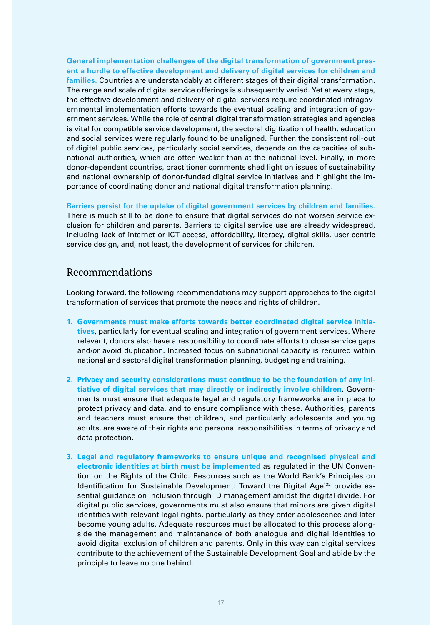**General implementation challenges of the digital transformation of government present a hurdle to effective development and delivery of digital services for children and families.** Countries are understandably at different stages of their digital transformation. The range and scale of digital service offerings is subsequently varied. Yet at every stage, the effective development and delivery of digital services require coordinated intragovernmental implementation efforts towards the eventual scaling and integration of government services. While the role of central digital transformation strategies and agencies is vital for compatible service development, the sectoral digitization of health, education and social services were regularly found to be unaligned. Further, the consistent roll-out of digital public services, particularly social services, depends on the capacities of subnational authorities, which are often weaker than at the national level. Finally, in more donor-dependent countries, practitioner comments shed light on issues of sustainability and national ownership of donor-funded digital service initiatives and highlight the importance of coordinating donor and national digital transformation planning.

**Barriers persist for the uptake of digital government services by children and families.** There is much still to be done to ensure that digital services do not worsen service exclusion for children and parents. Barriers to digital service use are already widespread, including lack of internet or ICT access, affordability, literacy, digital skills, user-centric service design, and, not least, the development of services for children.

### Recommendations

Looking forward, the following recommendations may support approaches to the digital transformation of services that promote the needs and rights of children.

- **1. Governments must make efforts towards better coordinated digital service initiatives**, particularly for eventual scaling and integration of government services. Where relevant, donors also have a responsibility to coordinate efforts to close service gaps and/or avoid duplication. Increased focus on subnational capacity is required within national and sectoral digital transformation planning, budgeting and training.
- **2. Privacy and security considerations must continue to be the foundation of any initiative of digital services that may directly or indirectly involve children**. Governments must ensure that adequate legal and regulatory frameworks are in place to protect privacy and data, and to ensure compliance with these. Authorities, parents and teachers must ensure that children, and particularly adolescents and young adults, are aware of their rights and personal responsibilities in terms of privacy and data protection.
- **3. Legal and regulatory frameworks to ensure unique and recognised physical and electronic identities at birth must be implemented** as regulated in the UN Convention on the Rights of the Child. Resources such as the World Bank's Principles on Identification for Sustainable Development: Toward the Digital Age<sup>132</sup> provide essential guidance on inclusion through ID management amidst the digital divide. For digital public services, governments must also ensure that minors are given digital identities with relevant legal rights, particularly as they enter adolescence and later become young adults. Adequate resources must be allocated to this process alongside the management and maintenance of both analogue and digital identities to avoid digital exclusion of children and parents. Only in this way can digital services contribute to the achievement of the Sustainable Development Goal and abide by the principle to leave no one behind.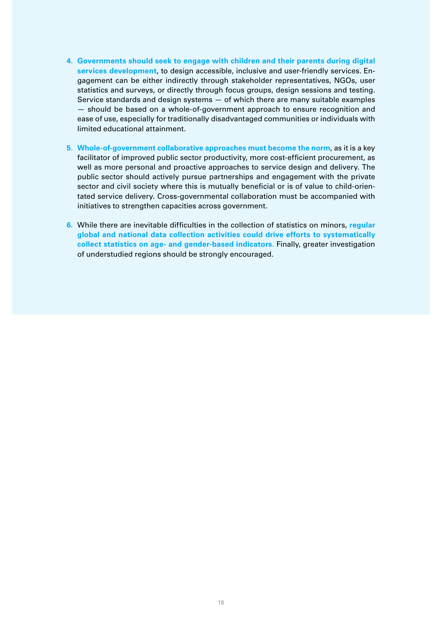- **4. Governments should seek to engage with children and their parents during digital services development**, to design accessible, inclusive and user-friendly services. Engagement can be either indirectly through stakeholder representatives, NGOs, user statistics and surveys, or directly through focus groups, design sessions and testing. Service standards and design systems — of which there are many suitable examples — should be based on a whole-of-government approach to ensure recognition and ease of use, especially for traditionally disadvantaged communities or individuals with limited educational attainment.
- **5. Whole-of-government collaborative approaches must become the norm**, as it is a key facilitator of improved public sector productivity, more cost-efficient procurement, as well as more personal and proactive approaches to service design and delivery. The public sector should actively pursue partnerships and engagement with the private sector and civil society where this is mutually beneficial or is of value to child-orientated service delivery. Cross-governmental collaboration must be accompanied with initiatives to strengthen capacities across government.
- **6.** While there are inevitable difficulties in the collection of statistics on minors, **regular global and national data collection activities could drive efforts to systematically collect statistics on age- and gender-based indicators**. Finally, greater investigation of understudied regions should be strongly encouraged.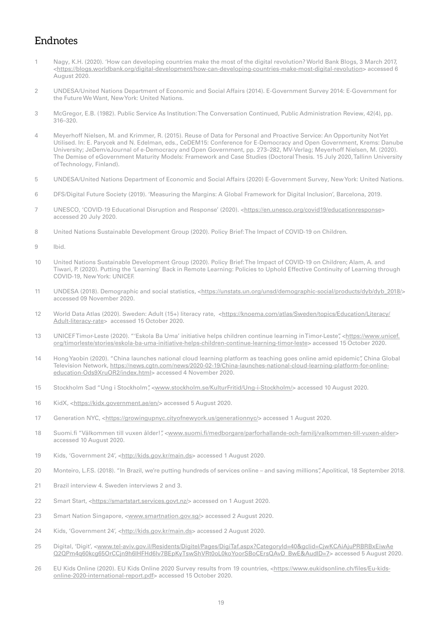# Endnotes

- Nagy[,](https://blogs.worldbank.org/digital-development/how-can-developing-countries-make-most-digital-revolution) K.H. (2020). 'How can developing countries make the most of the digital revolution? World Bank Blogs, 3 March 2017, <[https://blogs.worldbank.org/digital-development/how-can-developing-countries-make-most-digital-revolution>](https://blogs.worldbank.org/digital-development/how-can-developing-countries-make-most-digital-revolution) accessed 6 August 2020.
- 2 UNDESA/United Nations Department of Economic and Social Affairs (2014). E-Government Survey 2014: E-Government for the Future We Want, New York: United Nations.
- 3 McGregor, E.B. (1982). Public Service As Institution: The Conversation Continued, Public Administration Review, 42(4), pp. 316–320.
- 4 Meyerhoff Nielsen, M. and Krimmer, R. (2015). Reuse of Data for Personal and Proactive Service: An Opportunity Not Yet Utilised. In: E. Parycek and N. Edelman, eds., CeDEM15: Conference for E-Democracy and Open Government, Krems: Danube University; JeDem/eJournal of e-Democracy and Open Government, pp. 273–282, MV-Verlag; Meyerhoff Nielsen, M. (2020). The Demise of eGovernment Maturity Models: Framework and Case Studies (Doctoral Thesis. 15 July 2020, Tallinn University of Technology, Finland).
- 5 UNDESA/United Nations Department of Economic and Social Affairs (2020) E-Government Survey, New York: United Nations.
- 6 DFS/Digital Future Society (2019). 'Measuring the Margins: A Global Framework for Digital Inclusion', Barcelona, 2019.
- 7 UNESCO, 'COVID-19 Educational Disruption and Response' (2020). <[https://en.unesco.org/covid19/educationresponse>](https://en.unesco.org/covid19/educationresponse) accessed 20 July 2020.
- 8 United Nations Sustainable Development Group (2020). Policy Brief: The Impact of COVID-19 on Children.
- 9 Ibid.
- 10 United Nations Sustainable Development Group (2020). Policy Brief: The Impact of COVID-19 on Children; Alam, A. and Tiwari, P. (2020). Putting the 'Learning' Back in Remote Learning: Policies to Uphold Effective Continuity of Learning through COVID-19, New York: UNICEF.
- 11 UNDESA (2018). Demographic and social statistics, [<https://unstats.un.org/unsd/demographic-social/products/dyb/dyb\\_2018/](https://unstats.un.org/unsd/demographic-social/products/dyb/dyb_2018/)> accessed 09 November 2020.
- 12 World Data Atlas (2020). Sweden: Adult (15+) literacy rate, <https://knoema.com/atlas/Sweden/topics/Education/Literacy/ Adult-literacy-rate> accessed 15 October 2020.
- 13 UNICEF Timor-Leste (2020). "'Eskola Ba Uma' initiative helps children continue learning in Timor-Leste", <[https://www.unicef.](https://www.unicef.org/timorleste/stories/eskola-ba-uma-initiative-helps-children-continue-learning-timor-leste) [org/timorleste/stories/eskola-ba-uma-initiative-helps-children-continue-learning-timor-leste](https://www.unicef.org/timorleste/stories/eskola-ba-uma-initiative-helps-children-continue-learning-timor-leste)> accessed 15 October 2020.
- 14 Hong Yaobin (2020). "China launches national cloud learning platform as teaching goes online amid epidemic", China Global Television Network, [https://news.cgtn.com/news/2020-02-19/China-launches-national-cloud-learning-platform-for-online](https://news.cgtn.com/news/2020-02-19/China-launches-national-cloud-learning-platform-for-online-education-Ods9XruOR2/index.html)[education-Ods9XruOR2/index.html>](https://news.cgtn.com/news/2020-02-19/China-launches-national-cloud-learning-platform-for-online-education-Ods9XruOR2/index.html) accessed 4 November 2020.
- 15 Stockholm Sad "Ung i Stockholm", <[www.stockholm.se/KulturFritid/Ung-i-Stockholm/>](http://www.stockholm.se/KulturFritid/Ung-i-Stockholm/) accessed 10 August 2020.
- 16 KidX, [<https://kidx.government.ae/en/>](https://kidx.government.ae/en/) accessed 5 August 2020.
- 17 Generation NYC, [<https://growingupnyc.cityofnewyork.us/generationnyc/>](https://growingupnyc.cityofnewyork.us/generationnyc/) accessed 1 August 2020.
- 18 Suomi.fi "Välkommen till vuxen ålder!", <[www.suomi.fi/medborgare/parforhallande-och-familj/valkommen-till-vuxen-alder>](http://www.suomi.fi/medborgare/parforhallande-och-familj/valkommen-till-vuxen-alder) accessed 10 August 2020.
- 19 Kids, 'Government 24', [<http://kids.gov.kr/main.ds>](http://kids.gov.kr/main.ds) accessed 1 August 2020.
- 20 Monteiro, L.F.S. (2018). "In Brazil, we're putting hundreds of services online and saving millions", Apolitical, 18 September 2018.
- 21 Brazil interview 4. Sweden interviews 2 and 3.
- 22 Smart Start, <<https://smartstart.services.govt.nz/>> accessed on 1 August 2020.
- 23 Smart Nation Singapore, <[www.smartnation.gov.sg/>](http://www.smartnation.gov.sg/) accessed 2 August 2020.
- 24 Kids, 'Government 24', [<http://kids.gov.kr/main.ds>](http://kids.gov.kr/main.ds) accessed 2 August 2020.
- 25 Digital, 'Digit', [<www.tel-aviv.gov.il/Residents/Digitel/Pages/DigiTaf.aspx?CategoryId=40&gclid=CjwKCAiAjuPRBRBxEiwAe](http://www.tel-aviv.gov.il/Residents/Digitel/Pages/DigiTaf.aspx?CategoryId=40&gclid=CjwKCAiAjuPRBRBxEiwAeQ2QPm4q60kcg65OrCCjn9h6IHFHd6lv7BEpKyTswShVRt0oL0koYoorSBoCErsQAvD_BwE&AudID=7) [Q2QPm4q60kcg65OrCCjn9h6IHFHd6lv7BEpKyTswShVRt0oL0koYoorSBoCErsQAvD\\_BwE&AudID=7>](http://www.tel-aviv.gov.il/Residents/Digitel/Pages/DigiTaf.aspx?CategoryId=40&gclid=CjwKCAiAjuPRBRBxEiwAeQ2QPm4q60kcg65OrCCjn9h6IHFHd6lv7BEpKyTswShVRt0oL0koYoorSBoCErsQAvD_BwE&AudID=7) accessed 5 August 2020.
- 26 EU Kids Online (2020). EU Kids Online 2020 Survey results from 19 countries, <[https://www.eukidsonline.ch/files/Eu-kids](https://www.eukidsonline.ch/files/Eu-kids-online-2020-international-report.pdf)[online-2020-international-report.pdf>](https://www.eukidsonline.ch/files/Eu-kids-online-2020-international-report.pdf) accessed 15 October 2020.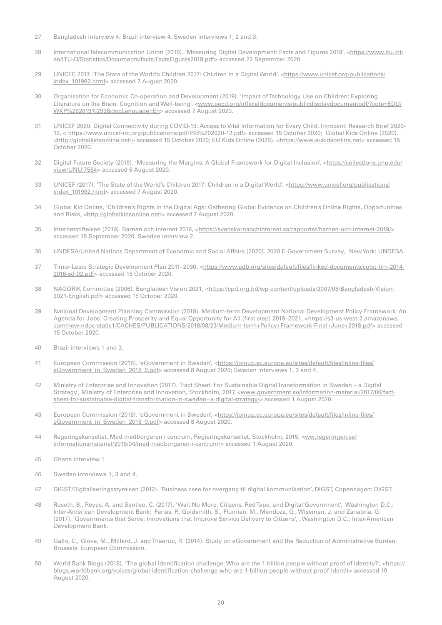- 27 Bangladesh interview 4. Brazil interview 4. Sweden interviews 1, 2 and 3.
- 28 International Telecommunication Union (2019). 'Measuring Digital Development: Facts and Figures 2019', <https://www.itu.int/ en/ITU-D/Statistics/Documents/facts/FactsFigures2019.pdf> accessed 22 September 2020.
- 29 UNICEF, 2017. 'The State of the World's Children 2017: Children in a Digital World',<https://www.unicef.org/publications/ index 101992.html> accessed 7 August 2020.
- 30 Organisation for Economic Co-operation and Development (2019). 'Impact of Technology Use on Children: Exploring Literature on the Brain, Cognition and Well-being', <[www.oecd.org/officialdocuments/publicdisplaydocumentpdf/?cote=EDU/](http://www.oecd.org/officialdocuments/publicdisplaydocumentpdf/?cote=EDU/WKP%282019%293&docLanguage=En) [WKP%282019%293&docLanguage=En](http://www.oecd.org/officialdocuments/publicdisplaydocumentpdf/?cote=EDU/WKP%282019%293&docLanguage=En)> accessed 7 August 2020.
- 31 UNICEF 2020. Digital Connectivity during COVID-19: Access to Vital Information for Every Child, Innocenti Research Brief 2020- 12, < [https://www.unicef-irc.org/publications/pdf/IRB%202020-12.pdf>](https://www.unicef-irc.org/publications/pdf/IRB%202020-12.pdf) accessed 15 October 2020; Global Kids Online (2020). <<http://globalkidsonline.net/>> accessed 15 October 2020; EU Kids Online (2020). <[https://www.eukidsonline.net>](https://www.eukidsonline.netf) accessed 15 October 2020.
- 32 Digital Future Society (2019). 'Measuring the Margins: A Global Framework for Digital Inclusion', [<https://collections.unu.edu/](https://collections.unu.edu/view/UNU:7584) [view/UNU:7584>](https://collections.unu.edu/view/UNU:7584) accessed 6 August 2020.
- 33 UNICEF (2017). 'The State of the World's Children 2017: Children in a Digital World'[,](https://adolescentsourfuture.com/2017/12/children-in-a-digital-age/) <https://www.unicef.org/publications/ index\_101992.html> accessed 7 August 2020.
- 34 Global Kid Online, 'Children's Rights in the Digital Age: Gathering Global Evidence on Children's Online Rights, Opportunities and Risks, [<http://globalkidsonline.net/>](http://globalkidsonline.net/) accessed 7 August 2020.
- 35 Internetstiftelsen (2019). Barnen och internet 2019, [<https://svenskarnaochinternet.se/rapporter/barnen-och-internet-2019/>](https://svenskarnaochinternet.se/rapporter/barnen-och-internet-2019/) accessed 15 September 2020. Sweden interview 2.
- 36 UNDESA/United Nations Department of Economic and Social Affairs (2020). 2020 E-Government Survey, New York: UNDESA.
- 37 Timor-Leste Strategic Development Plan 2011–2030, <[https://www.adb.org/sites/default/files/linked-documents/cobp-tim-2014-](https://www.adb.org/sites/default/files/linked-documents/cobp-tim-2014-2016-sd-02.pdf) [2016-sd-02.pdf>](https://www.adb.org/sites/default/files/linked-documents/cobp-tim-2014-2016-sd-02.pdf) accessed 15 October 2020.
- 38 NAGORIK Committee (2006). Bangladesh Vision 2021, [<https://cpd.org.bd/wp-content/uploads/2007/08/Bangladesh-Vision-](https://cpd.org.bd/wp-content/uploads/2007/08/Bangladesh-Vision-2021-English.pdf)[2021-English.pdf>](https://cpd.org.bd/wp-content/uploads/2007/08/Bangladesh-Vision-2021-English.pdf) accessed 15 October 2020.
- 39 National Development Planning Commission (2018). Medium-term Development National Development Policy Framework: An Agenda for Jobs: Creating Prosperity and Equal Opportunity for All (first step) 2018-2021, [<https://s3-us-west-2.amazonaws.](https://s3-us-west-2.amazonaws.com/new-ndpc-static1/CACHES/PUBLICATIONS/2018/08/23/Medium-term+Policy+Framework-Final+June+2018.pdf) [com/new-ndpc-static1/CACHES/PUBLICATIONS/2018/08/23/Medium-term+Policy+Framework-Final+June+2018.pdf](https://s3-us-west-2.amazonaws.com/new-ndpc-static1/CACHES/PUBLICATIONS/2018/08/23/Medium-term+Policy+Framework-Final+June+2018.pdf)> accessed 15 October 2020.
- 40 Brazil interviews 1 and 3.
- 41 European Commission (2018). 'eGovernment in Sweden', [<https://joinup.ec.europa.eu/sites/default/files/inline-files/](https://joinup.ec.europa.eu/sites/default/files/inline-files/eGovernment_in_Sweden_2018_0.pdf) eGovernment in Sweden 2018 0.pdf> accessed 8 August 2020; Sweden interviews 1, 3 and 4.
- 42 Ministry of Enterprise and Innovation (2017). 'Fact Sheet: For Sustainable Digital Transformation in Sweden a Digital Strategy', Ministry of Enterprise and Innovation, Stockholm, 2017, [<www.government.se/information-material/2017/06/fact](http://www.government.se/information-material/2017/06/fact-sheet-for-sustainable-digital-transformation-in-sweden--a-digital-strategy/)[sheet-for-sustainable-digital-transformation-in-sweden--a-digital-strategy/](http://www.government.se/information-material/2017/06/fact-sheet-for-sustainable-digital-transformation-in-sweden--a-digital-strategy/)> accessed 1 August 2020.
- 43 European Commission (2018). 'eGovernment in Sweden', [<https://joinup.ec.europa.eu/sites/default/files/inline-files/](https://joinup.ec.europa.eu/sites/default/files/inline-files/eGovernment_in_Sweden_2018_0.pdf) [eGovernment\\_in\\_Sweden\\_2018\\_0.pdf>](https://joinup.ec.europa.eu/sites/default/files/inline-files/eGovernment_in_Sweden_2018_0.pdf) accessed 8 August 2020.
- 44 Regeringskanseliet, Med medborgaren i centrum, Regieringskanseliet, Stockholm, 2015, <ww.regeringen.se/ informationsmaterial/2015/04/med-medborgaren-i-centrum/> accessed 1 August 2020.
- 45 Ghana interview 1
- 46 Sweden interviews 1, 3 and 4.
- 47 DIGST/Digitaliseringsstyrelsen (2012). 'Business case for overgang til digital kommunikation', DIGST, Copenhagen: DIGST.
- 48 Roseth, B., Reyes, A. and Santiso, C. (2017). 'Wait No More: Citizens, Red Tape, and Digital Government', Washington D.C.: Inter-American Development Bank; Farias, P., Goldsmith, S., Flumian, M., Mendoza, G., Wiseman, J. and Zanabria, G. (2017). 'Governments that Serve: Innovations that Improve Service Delivery to Citizens', , Washington D.C.: Inter-American Development Bank.
- 49 Gallo, C., Giove, M., Millard, J. and Thaarup, R. (2014). Study on eGovernment and the Reduction of Administrative Burden. Brussels: European Commission.
- 50 World Bank Blogs (2018). 'The global identification challenge: Who are the 1 billion people without proof of identity?', <[https://](https://blogs.worldbank.org/voices/global-identification-challenge-who-are-1-billion-people-without-proof-identit) [blogs.worldbank.org/voices/global-identification-challenge-who-are-1-billion-people-without-proof-identit>](https://blogs.worldbank.org/voices/global-identification-challenge-who-are-1-billion-people-without-proof-identit) accessed 10 August 2020.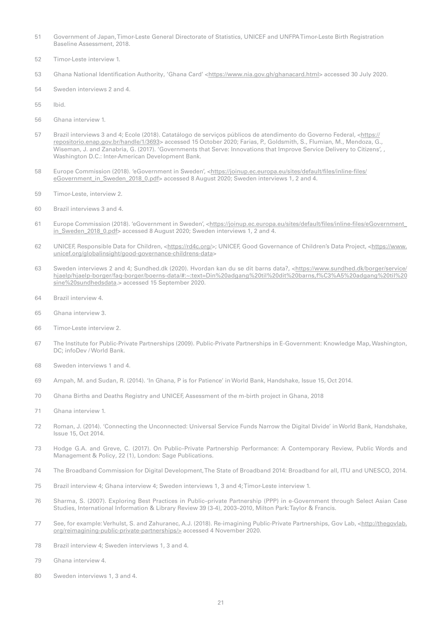- Government of Japan, Timor-Leste General Directorate of Statistics, UNICEF and UNFPA Timor-Leste Birth Registration Baseline Assessment, 2018.
- Timor-Leste interview 1.
- 53 Ghana National Identification Authority, 'Ghana Card' <[https://www.nia.gov.gh/ghanacard.html>](https://www.nia.gov.gh/ghanacard.html) accessed 30 July 2020.
- Sweden interviews 2 and 4.
- Ibid.
- Ghana interview 1.
- Brazil interviews 3 and 4; Ecole (2018). Catatálogo de serviços públicos de atendimento do Governo Federal, [<https://](https://repositorio.enap.gov.br/handle/1/3693) [repositorio.enap.gov.br/handle/1/3693](https://repositorio.enap.gov.br/handle/1/3693)> accessed 15 October 2020; Farias, P., Goldsmith, S., Flumian, M., Mendoza, G., Wiseman, J. and Zanabria, G. (2017). 'Governments that Serve: Innovations that Improve Service Delivery to Citizens', , Washington D.C.: Inter-American Development Bank.
- 58 Europe Commission (2018). 'eGovernment in Sweden', <[https://joinup.ec.europa.eu/sites/default/files/inline-files/](https://joinup.ec.europa.eu/sites/default/files/inline-files/eGovernment_in_Sweden_2018_0.pdf) [eGovernment\\_in\\_Sweden\\_2018\\_0.pdf>](https://joinup.ec.europa.eu/sites/default/files/inline-files/eGovernment_in_Sweden_2018_0.pdf) accessed 8 August 2020; Sweden interviews 1, 2 and 4.
- Timor-Leste, interview 2.
- Brazil interviews 3 and 4.
- Europe Commission (2018). 'eGovernment in Sweden', [<https://joinup.ec.europa.eu/sites/default/files/inline-files/eGovernment\\_](https://joinup.ec.europa.eu/sites/default/files/inline-files/eGovernment_in_Sweden_2018_0.pdf) [in\\_Sweden\\_2018\\_0.pdf](https://joinup.ec.europa.eu/sites/default/files/inline-files/eGovernment_in_Sweden_2018_0.pdf)> accessed 8 August 2020; Sweden interviews 1, 2 and 4.
- UNICEF, Responsible Data for Children, <<https://rd4c.org/>>; UNICEF, Good Governance of Children's Data Project, <[https://www.](https://www.unicef.org/globalinsight/good-governance-childrens-data) [unicef.org/globalinsight/good-governance-childrens-data>](https://www.unicef.org/globalinsight/good-governance-childrens-data)
- 63 Sweden interviews 2 and 4; Sundhed.dk (2020). Hvordan kan du se dit barns data?, <https://www.sundhed.dk/borger/service/ hjaelp/hjaelp-borger/faq-borger/boerns-data/#:~:text=Din%20adgang%20til%20dit%20barns,f%C3%A5%20adgang%20til%20 sine%20sundhedsdata.> accessed 15 September 2020.
- Brazil interview 4.
- Ghana interview 3.
- Timor-Leste interview 2.
- The Institute for Public-Private Partnerships (2009). Public-Private Partnerships in E-Government: Knowledge Map, Washington, DC; infoDev / World Bank.
- Sweden interviews 1 and 4.
- Ampah, M. and Sudan, R. (2014). 'In Ghana, P is for Patience' in World Bank, Handshake, Issue 15, Oct 2014.
- Ghana Births and Deaths Registry and UNICEF, Assessment of the m-birth project in Ghana, 2018
- Ghana interview 1.
- Roman, J. (2014). 'Connecting the Unconnected: Universal Service Funds Narrow the Digital Divide' in World Bank, Handshake, Issue 15, Oct 2014.
- Hodge G.A. and Greve, C. (2017). On Public–Private Partnership Performance: A Contemporary Review, Public Words and Management & Policy, 22 (1), London: Sage Publications.
- The Broadband Commission for Digital Development, The State of Broadband 2014: Broadband for all, ITU and UNESCO, 2014.
- Brazil interview 4; Ghana interview 4; Sweden interviews 1, 3 and 4; Timor-Leste interview 1.
- Sharma, S. (2007). Exploring Best Practices in Public–private Partnership (PPP) in e-Government through Select Asian Case Studies, International Information & Library Review 39 (3-4), 2003–2010, Milton Park: Taylor & Francis.
- See, for example: Verhulst, S. and Zahuranec, A.J. (2018). Re-imagining Public-Private Partnerships, Gov Lab, <[http://thegovlab.](http://thegovlab.org/reimagining-public-private-partnerships/) [org/reimagining-public-private-partnerships/>](http://thegovlab.org/reimagining-public-private-partnerships/) accessed 4 November 2020.
- Brazil interview 4; Sweden interviews 1, 3 and 4.
- Ghana interview 4.
- Sweden interviews 1, 3 and 4.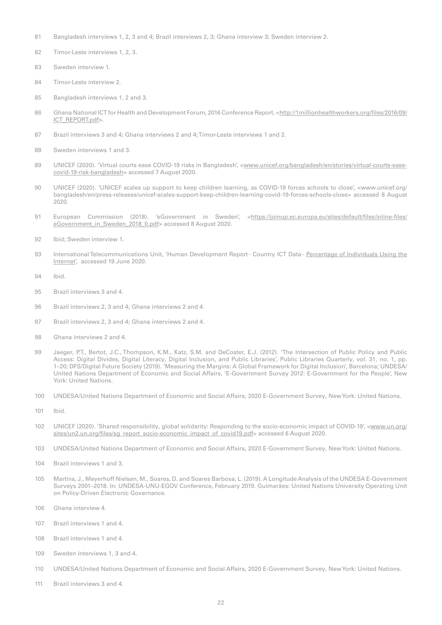- 81 Bangladesh interviews 1, 2, 3 and 4; Brazil interviews 2, 3; Ghana interview 3; Sweden interview 2.
- 82 Timor-Leste interviews 1, 2, 3.
- 83 Sweden interview 1.
- 84 Timor-Leste interview 2.
- 85 Bangladesh interviews 1, 2 and 3.
- 86 Ghana National ICT for Health and Development Forum, 2016 Conference Report, [<http://1millionhealthworkers.org/files/2016/09/](http://1millionhealthworkers.org/files/2016/09/ICT_REPORT.pdf) [ICT\\_REPORT.pdf](http://1millionhealthworkers.org/files/2016/09/ICT_REPORT.pdf)>.
- 87 Brazil interviews 3 and 4; Ghana interviews 2 and 4; Timor-Leste interviews 1 and 2.
- 88 Sweden interviews 1 and 3.
- 89 UNICEF (2020). 'Virtual courts ease COVID-19 risks in Bangladesh', [<www.unicef.org/bangladesh/en/stories/virtual-courts-ease](https://www.unicef.org/bangladesh/en/stories/virtual-courts-ease-covid-19-risk-bangladesh)[covid-19-risk-bangladesh](https://www.unicef.org/bangladesh/en/stories/virtual-courts-ease-covid-19-risk-bangladesh)> accessed 7 August 2020.
- 90 UNICEF (2020). 'UNICEF scales up support to keep children learning, as COVID-19 forces schools to close', [<www.unicef.org/](https://www.unicef.org/bangladesh/en/press-releases/unicef-scales-support-keep-children-learning-covid-19-forces-schools-close) [bangladesh/en/press-releases/unicef-scales-support-keep-children-learning-covid-19-forces-schools-close](https://www.unicef.org/bangladesh/en/press-releases/unicef-scales-support-keep-children-learning-covid-19-forces-schools-close)> accessed 8 August 2020.
- 91 European Commission (2018). 'eGovernment in Sweden', [<https://joinup.ec.europa.eu/sites/default/files/inline-files/](https://joinup.ec.europa.eu/sites/default/files/inline-files/eGovernment_in_Sweden_2018_0.pdf) [eGovernment\\_in\\_Sweden\\_2018\\_0.pdf>](https://joinup.ec.europa.eu/sites/default/files/inline-files/eGovernment_in_Sweden_2018_0.pdf) accessed 8 August 2020.
- 92 Ibid; Sweden interview 1.
- 93 International Telecommunications Unit, 'Human Development Report Country ICT Data [Percentage of Individuals Using the](https://www.itu.int/en/ITU-D/Statistics/Documents/statistics/2019/Individuals_Internet_2000-2018_Dec2019.xls) [Internet](https://www.itu.int/en/ITU-D/Statistics/Documents/statistics/2019/Individuals_Internet_2000-2018_Dec2019.xls)', accessed 19 June 2020.
- 94 Ibid.
- 95 Brazil interviews 3 and 4.
- 96 Brazil interviews 2, 3 and 4; Ghana interviews 2 and 4.
- 97 Brazil interviews 2, 3 and 4; Ghana interviews 2 and 4.
- 98 Ghana interviews 2 and 4.
- 99 Jaeger, P.T., Bertot, J.C., Thompson, K.M., Katz, S.M. and DeCoster, E.J. (2012). 'The Intersection of Public Policy and Public Access: Digital Divides, Digital Literacy, Digital Inclusion, and Public Libraries', Public Libraries Quarterly, vol. 31, no. 1, pp. 1–20; DFS/Digital Future Society (2019). 'Measuring the Margins: A Global Framework for Digital Inclusion', Barcelona; UNDESA/ United Nations Department of Economic and Social Affairs, 'E-Government Survey 2012: E-Government for the People', New York: United Nations.
- 100 UNDESA/United Nations Department of Economic and Social Affairs, 2020 E-Government Survey, New York: United Nations.
- 101 Ibid.
- 102 UNICEF (2020). 'Shared responsibility, global solidarity: Responding to the socio-economic impact of COVID-19', [<](https://www.un.org/sites/un2.un.org/files/sg_report_socio-economic_impact_of_covid19.pdf)[www.un.org/](http://www.un.org/sites/un2.un.org/files/sg_report_socio-economic_impact_of_covid19.pdf) [sites/un2.un.org/files/sg\\_report\\_socio-economic\\_impact\\_of\\_covid19.pdf](http://www.un.org/sites/un2.un.org/files/sg_report_socio-economic_impact_of_covid19.pdf)> accessed 6 August 2020.
- 103 UNDESA/United Nations Department of Economic and Social Affairs, 2020 E-Government Survey, New York: United Nations.
- 104 Brazil interviews 1 and 3.
- 105 Martins, J., Meyerhoff Nielsen, M., Soares, D. and Soares Barbosa, L. (2019). A Longitude Analysis of the UNDESA E-Government Surveys 2001–2018. In: UNDESA-UNU-EGOV Conference, February 2019. Guimarães: United Nations University Operating Unit on Policy-Driven Electronic Governance.
- 106 Ghana interview 4.
- 107 Brazil interviews 1 and 4.
- 108 Brazil interviews 1 and 4
- 109 Sweden interviews 1, 3 and 4.
- 110 UNDESA/United Nations Department of Economic and Social Affairs, 2020 E-Government Survey, New York: United Nations.
- 111 Brazil interviews 3 and 4.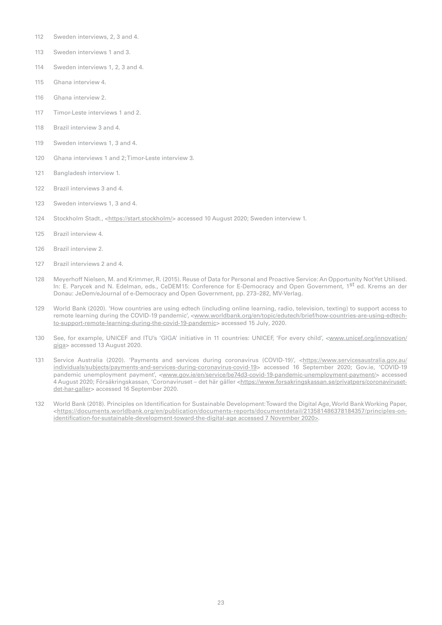- Sweden interviews, 2, 3 and 4.
- Sweden interviews 1 and 3.
- Sweden interviews 1, 2, 3 and 4.
- Ghana interview 4.
- Ghana interview 2.
- Timor-Leste interviews 1 and 2.
- Brazil interview 3 and 4.
- Sweden interviews 1, 3 and 4.
- Ghana interviews 1 and 2; Timor-Leste interview 3.
- Bangladesh interview 1.
- Brazil interviews 3 and 4.
- Sweden interviews 1, 3 and 4.
- Stockholm Stadt., [<https://start.stockholm/](https://start.stockholm/)> accessed 10 August 2020; Sweden interview 1.
- Brazil interview 4.
- Brazil interview 2.
- Brazil interviews 2 and 4.
- Meyerhoff Nielsen, M. and Krimmer, R. (2015). Reuse of Data for Personal and Proactive Service: An Opportunity Not Yet Utilised. In: E. Parycek and N. Edelman, eds., CeDEM15: Conference for E-Democracy and Open Government, 1<sup>st</sup> ed. Krems an der Donau: JeDem/eJournal of e-Democracy and Open Government, pp. 273–282, MV-Verlag.
- World Bank (2020). 'How countries are using edtech (including online learning, radio, television, texting) to support access to remote learning during the COVID-19 pandemic', [<www.worldbank.org/en/topic/edutech/brief/how-countries-are-using-edtech](https://www.worldbank.org/en/topic/edutech/brief/how-countries-are-using-edtech-to-support-remote-learning-during-the-covid-19-pandemic)[to-support-remote-learning-during-the-covid-19-pandemic](https://www.worldbank.org/en/topic/edutech/brief/how-countries-are-using-edtech-to-support-remote-learning-during-the-covid-19-pandemic)> accessed 15 July, 2020.
- See, for example, UNICEF and ITU's 'GIGA' initiative in 11 countries: UNICEF, 'For every child', <[www.unicef.org/innovation/](http://www.unicef.org/innovation/giga) [giga](http://www.unicef.org/innovation/giga)> accessed 13 August 2020.
- Service Australia (2020). 'Payments and services during coronavirus (COVID-19)', <https://www.servicesaustralia.gov.au/ individuals/subjects/payments-and-services-during-coronavirus-covid-19> accessed 16 September 2020; Gov.ie, 'COVID-19 pandemic unemployment payment', [<www.gov.ie/en/service/be74d3-covid-19-pandemic-unemployment-payment/](https://www.gov.ie/en/service/be74d3-covid-19-pandemic-unemployment-payment/)> accessed 4 August 2020; Försäkringskassan, 'Coronaviruset – det här gäller [<https://www.forsakringskassan.se/privatpers/coronaviruset](https://www.forsakringskassan.se/privatpers/coronaviruset-det-har-galler)[det-har-galler](https://www.forsakringskassan.se/privatpers/coronaviruset-det-har-galler)> accessed 16 September 2020.
- World Bank (2018). Principles on Identification for Sustainable Development: Toward the Digital Age, World Bank Working Paper, <[https://documents.worldbank.org/en/publication/documents-reports/documentdetail/213581486378184357/principles-on](https://documents.worldbank.org/en/publication/documents-reports/documentdetail/213581486378184357/principles-on-identification-for-sustainable-development-toward-the-digital-age%20accessed%207%20November%202020)[identification-for-sustainable-development-toward-the-digital-age accessed 7 November 2020>](https://documents.worldbank.org/en/publication/documents-reports/documentdetail/213581486378184357/principles-on-identification-for-sustainable-development-toward-the-digital-age%20accessed%207%20November%202020).